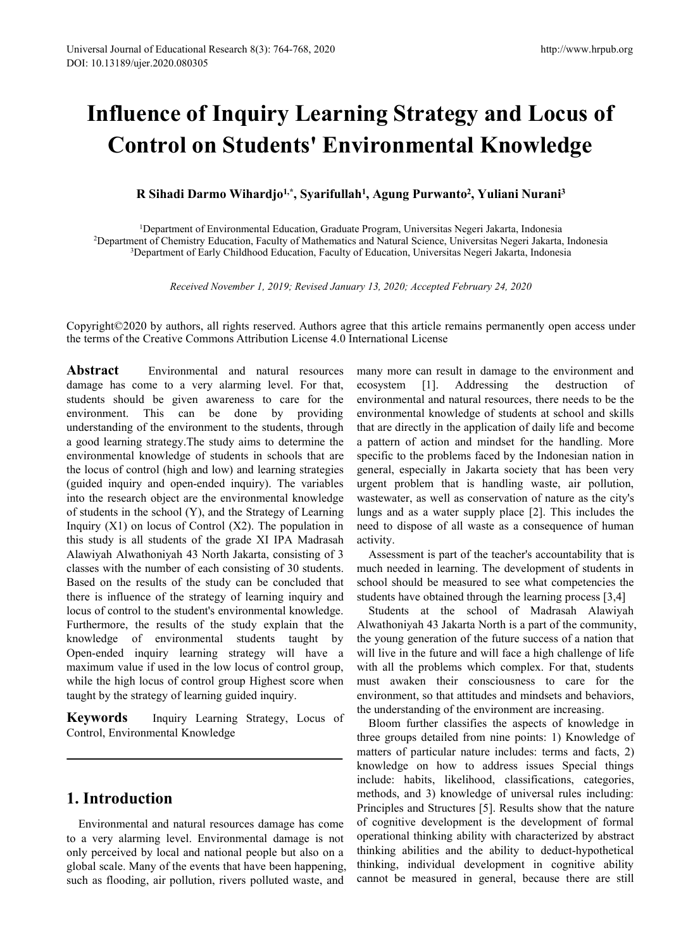# **Influence of Inquiry Learning Strategy and Locus of Control on Students' Environmental Knowledge R Sihadi Darmo Wihardjo**<sup>1,\*</sup>,\*<br>**R Sihadi Darmo Wihardjo<sup>1,\*</sup>,\* Syarifullah<sup>1</sup>,\* Agung Purwanto<sup>2</sup>,\* Vulippertment of Environmental Education, Graduate Program, Universitas Negeri Jakant of Chemistry Education, Faculty of** http://www.hrput<br> **ng Strategy and Locus of<br>
<b>ironmental Knowledge**<br> **, Agung Purwanto<sup>2</sup>, Yuliani Nurani<sup>3</sup><br>
Program, Universitas Negeri Jakarta, Indonesia<br>
ad Natural Science, Universitas Negeri Jakarta, Indonesia<br>Educat** http://www.hrpub.org<br> **y**<br> **and Locus of<br>
<b>Knowledge**<br> **,** Yuliani Nurani<sup>3</sup><br>
seri Jakarta, Indonesia<br>
ersitas Negeri Jakarta, Indonesia<br>
egeri Jakarta, Indonesia<br>
egeri Jakarta, Indonesia **ence of Inquiry Learning Strategy and Locus of<br>ntrol on Students' Environmental Knowledge<br>R Sihadi Darmo Wihardjo<sup>t,\*</sup>, Syarifullah<sup>1</sup>, Agung Purwanto<sup>2</sup>, Yuliani Nurani<sup>3</sup><br><sup>1</sup>Department of Environmental Education, Gradua 2Department of Chemistry Confort of Conformental Education, Graduate Program, Universitas Negeri Jakarta, Indonesia<br><sup>2</sup>Department of Chemistry Education, Faculty of Mathematics and Natural Science, Universitas Negeri Jaka 1ence of Inquiry Learning Strategy and Locus of**<br> **3Department of Students' Environmental Knowledge**<br> **R Sihadi Darmo Wihardjo<sup>1,\*</sup>, Syarifullah<sup>1</sup>, Agung Purwanto<sup>2</sup>, Yuliani Nurani<sup>3</sup><br>
<sup>1</sup>Department of Environmental Edu**

*Received November 1, 2019; Revised January 13, 2020; Accepted February 24, 2020***<br>** *Received November 1, 2019; Revised January 13, 2020; Accepted February 24, 2020***<br>** *Received November 1, 2019; Revised January 13, 2020; A* 

Copyright©2020 by authors, all rights reserved. Authors agree that this article remains permanently open access under the terms of the Creative Commons Attribution License 4.0 International License

**Abstract** Environmental and natural resources damage has come to a very alarming level. For that, ecosystem students should be given awareness to care for the environment. This can be done by providing understanding of the environment to the students, through a good learning strategy.The study aims to determine the environmental knowledge of students in schools that are the locus of control (high and low) and learning strategies (guided inquiry and open-ended inquiry). The variables into the research object are the environmental knowledge of students in the school (Y), and the Strategy of Learning Inquiry  $(X1)$  on locus of Control  $(X2)$ . The population in this study is all students of the grade XI IPA Madrasah Alawiyah Alwathoniyah 43 North Jakarta, consisting of 3 classes with the number of each consisting of 30 students. Based on the results of the study can be concluded that there is influence of the strategy of learning inquiry and locus of control to the student's environmental knowledge. Furthermore, the results of the study explain that the knowledge of environmental students taught by Open-ended inquiry learning strategy will have a maximum value if used in the low locus of control group, while the high locus of control group Highest score when taught by the strategy of learning guided inquiry.

**Keywords** Inquiry Learning Strategy, Locus of Control, Environmental Knowledge

# **1. Introduction**

Environmental and natural resources damage has come to a very alarming level. Environmental damage is not only perceived by local and national people but also on a global scale. Many of the events that have been happening, such as flooding, air pollution, rivers polluted waste, and many more can result in damage to the environment and [1]. Addressing the destruction of environmental and natural resources, there needs to be the environmental knowledge of students at school and skills that are directly in the application of daily life and become a pattern of action and mindset for the handling. More specific to the problems faced by the Indonesian nation in general, especially in Jakarta society that has been very urgent problem that is handling waste, air pollution, wastewater, as well as conservation of nature as the city's lungs and as a water supply place [2]. This includes the need to dispose of all waste as a consequence of human activity.

Assessment is part of the teacher's accountability that is much needed in learning. The development of students in school should be measured to see what competencies the students have obtained through the learning process [3,4]

Students at the school of Madrasah Alawiyah Alwathoniyah 43 Jakarta North is a part of the community, the young generation of the future success of a nation that will live in the future and will face a high challenge of life with all the problems which complex. For that, students must awaken their consciousness to care for the environment, so that attitudes and mindsets and behaviors, the understanding of the environment are increasing.

Bloom further classifies the aspects of knowledge in three groups detailed from nine points:1) Knowledge of matters of particular nature includes: terms and facts, 2) knowledge on how to address issues Special things include: habits, likelihood, classifications, categories, methods, and 3) knowledge of universal rules including: Principles and Structures [5]. Results show that the nature of cognitive development is the development of formal operational thinking ability with characterized by abstract thinking abilities and the ability to deduct-hypothetical thinking, individual development in cognitive ability cannot be measured in general, because there are still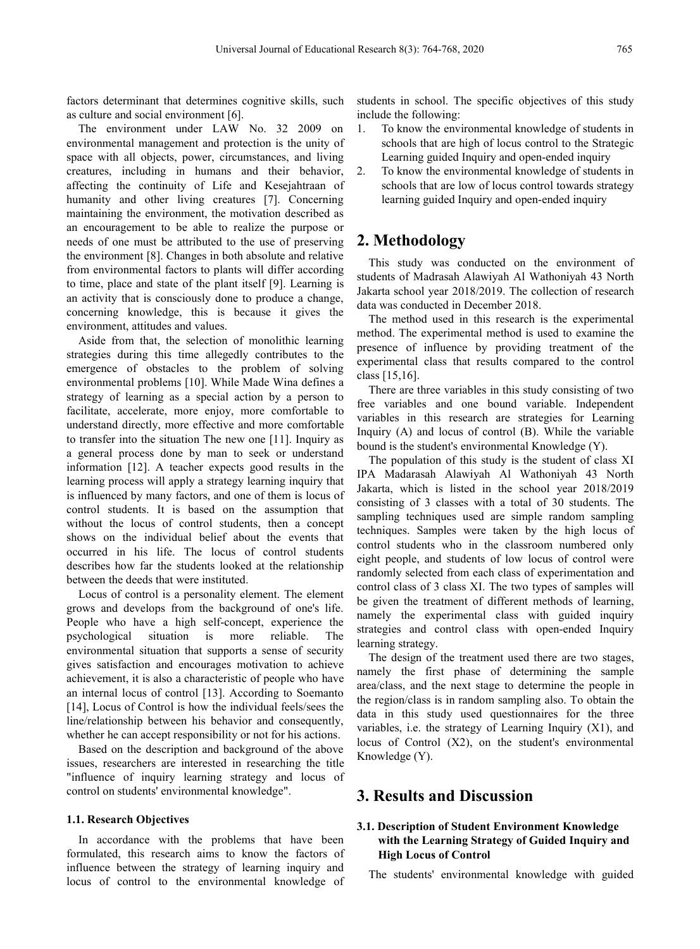factors determinant that determines cognitive skills, such as culture and social environment [6].

The environment under LAW No. 32 2009 on 1. environmental management and protection is the unity of space with all objects, power, circumstances, and living creatures, including in humans and their behavior, affecting the continuity of Life and Kesejahtraan of humanity and other living creatures [7]. Concerning maintaining the environment, the motivation described as an encouragement to be able to realize the purpose or needs of one must be attributed to the use of preserving the environment [8]. Changes in both absolute and relative from environmental factors to plants will differ according to time, place and state of the plant itself [9]. Learning is an activity that is consciously done to produce a change, concerning knowledge, this is because it gives the environment, attitudes and values.

Aside from that, the selection of monolithic learning strategies during this time allegedly contributes to the emergence of obstacles to the problem of solving environmental problems [10]. While Made Wina defines a strategy of learning as a special action by a person to facilitate, accelerate, more enjoy, more comfortable to understand directly, more effective and more comfortable to transfer into the situation The new one [11]. Inquiry as a general process done by man to seek or understand information [12]. A teacher expects good results in the learning process will apply a strategy learning inquiry that is influenced by many factors, and one of them is locus of control students. It is based on the assumption that without the locus of control students, then a concept shows on the individual belief about the events that occurred in his life. The locus of control students describes how far the students looked at the relationship between the deeds that were instituted.

Locus of control is a personality element. The element grows and develops from the background of one's life. People who have a high self-concept, experience the psychological situation is more reliable. The environmental situation that supports a sense of security gives satisfaction and encourages motivation to achieve achievement, it is also a characteristic of people who have an internal locus of control [13]. According to Soemanto [14], Locus of Control is how the individual feels/sees the line/relationship between his behavior and consequently, whether he can accept responsibility or not for his actions.

Based on the description and background of the above issues, researchers are interested in researching the title "influence of inquiry learning strategy and locus of control on students' environmental knowledge".

#### **1.1. Research Objectives**

In accordance with the problems that have been formulated, this research aims to know the factors of influence between the strategy of learning inquiry and locus of control to the environmental knowledge of students in school. The specific objectives of this study include the following:

- 1. To know the environmental knowledge of students in schools that are high of locus control to the Strategic Learning guided Inquiry and open-ended inquiry
- To know the environmental knowledge of students in schools that are low of locus control towards strategy learning guided Inquiry and open-ended inquiry

# **2. Methodology**

This study was conducted on the environment of students of Madrasah Alawiyah Al Wathoniyah 43 North Jakarta school year 2018/2019. The collection of research data was conducted in December 2018.

The method used in this research is the experimental method. The experimental method is used to examine the presence of influence by providing treatment of the experimental class that results compared to the control class [15,16].

There are three variables in this study consisting of two free variables and one bound variable. Independent variables in this research are strategies for Learning Inquiry (A) and locus of control (B). While the variable bound is the student's environmental Knowledge (Y).

The population of this study is the student of class XI IPA Madarasah Alawiyah Al Wathoniyah 43 North Jakarta, which is listed in the school year 2018/2019 consisting of 3 classes with a total of 30 students. The sampling techniques used are simple random sampling techniques. Samples were taken by the high locus of control students who in the classroom numbered only eight people, and students of low locus of control were randomly selected from each class of experimentation and control class of 3 class XI. The two types of samples will be given the treatment of different methods of learning, namely the experimental class with guided inquiry strategies and control class with open-ended Inquiry learning strategy.

The design of the treatment used there are two stages, namely the first phase of determining the sample area/class, and the next stage to determine the people in the region/class is in random sampling also. To obtain the data in this study used questionnaires for the three variables, i.e. the strategy of Learning Inquiry (X1), and locus of Control (X2), on the student's environmental Knowledge (Y).

# **3. Results and Discussion**

## **3.1. Description of Student Environment Knowledge with the Learning Strategy of Guided Inquiry and High Locus of Control**

The students' environmental knowledge with guided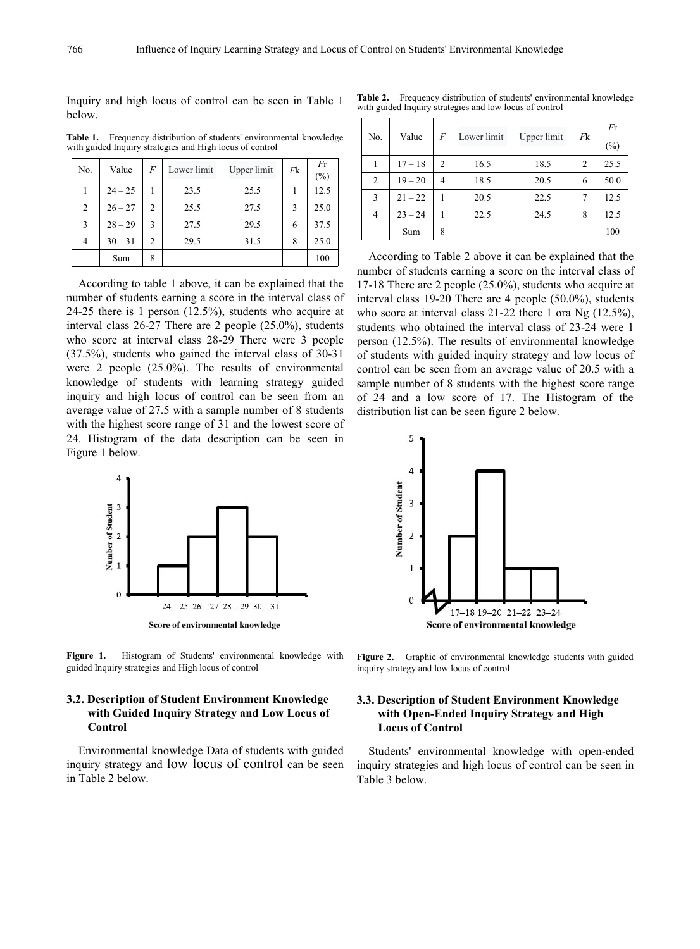below.

**Table 1.** Frequency distribution of students' environmental knowledge with guided Inquiry strategies and High locus of control

| No.            | Value     | $\overline{F}$ | Lower limit | Upper limit | Fk | Fr   |                | $17 - 1$  |
|----------------|-----------|----------------|-------------|-------------|----|------|----------------|-----------|
|                |           |                |             |             |    | (%)  | $\overline{c}$ | $19 - 2$  |
|                | $24 - 25$ |                | 23.5        | 25.5        |    | 12.5 | 3              | $21 - 2$  |
| 2              | $26 - 27$ | 2              | 25.5        | 27.5        | 3  | 25.0 | 4              | $23 - 2$  |
| 3              | $28 - 29$ | 3              | 27.5        | 29.5        | 6  | 37.5 |                | Sum       |
| $\overline{4}$ | $30 - 31$ | 2              | 29.5        | 31.5        | 8  | 25.0 |                |           |
|                | Sum       | 8              |             |             |    | 100  |                | According |

According to table 1 above, it can be explained that the number of students earning a score in the interval class of 24-25 there is 1 person  $(12.5\%)$ , students who acquire at interval class 26-27 There are 2 people (25.0%), students who score at interval class 28-29 There were 3 people (37.5%), students who gained the interval class of 30-31 were 2 people (25.0%). The results of environmental knowledge of students with learning strategy guided inquiry and high locus of control can be seen from an average value of 27.5 with a sample number of 8 students with the highest score range of 31 and the lowest score of 24. Histogram of the data description can be seen in Figure 1 below.



**Figure 1.** Histogram of Students' environmental knowledge with guided Inquiry strategies and High locus of control

## **3.2. Description of Student Environment Knowledge with Guided Inquiry Strategy and Low Locus of Control**

Environmental knowledge Data of students with guided inquiry strategy and low locus of control can be seen in Table 2 below.

Inquiry and high locus of control can be seen in Table 1 Table 2. Frequency distribution of students' environmental knowledge with guided Inquiry strategies and low locus of control

| wledge         | No.            | Value     | F              | Lower limit | Upper limit | Fk | Fr<br>(%) |
|----------------|----------------|-----------|----------------|-------------|-------------|----|-----------|
| F <sub>r</sub> |                | $17 - 18$ | 2              | 16.5        | 18.5        | 2  | 25.5      |
| $(\%)$         | $\overline{2}$ | $19 - 20$ | $\overline{4}$ | 18.5        | 20.5        | 6  | 50.0      |
| 12.5           | 3              | $21 - 22$ |                | 20.5        | 22.5        | 7  | 12.5      |
| 25.0           | 4              | $23 - 24$ |                | 22.5        | 24.5        | 8  | 12.5      |
| 37.5           |                | Sum       | 8              |             |             |    | 100       |
| ንና ሰ           |                |           |                |             |             |    |           |

Sum  $8$  100  $100$  According to Table 2 above it can be explained that the number of students earning a score on the interval class of 17-18 There are 2 people (25.0%), students who acquire at interval class 19-20 There are 4 people (50.0%), students who score at interval class 21-22 there 1 ora Ng (12.5%), students who obtained the interval class of 23-24 were 1 person (12.5%). The results of environmental knowledge of students with guided inquiry strategy and low locus of control can be seen from an average value of 20.5 with a sample number of 8 students with the highest score range of 24 and alow score of 17. The Histogram of the distribution list can be seen figure 2 below.



**Figure 2.** Graphic of environmental knowledge students with guided inquiry strategy and low locus of control

#### **3.3. Description of Student Environment Knowledge with Open-Ended Inquiry Strategy and High Locus ofControl**

Students' environmental knowledge with open-ended inquiry strategies and high locus of control can be seen in Table 3 below.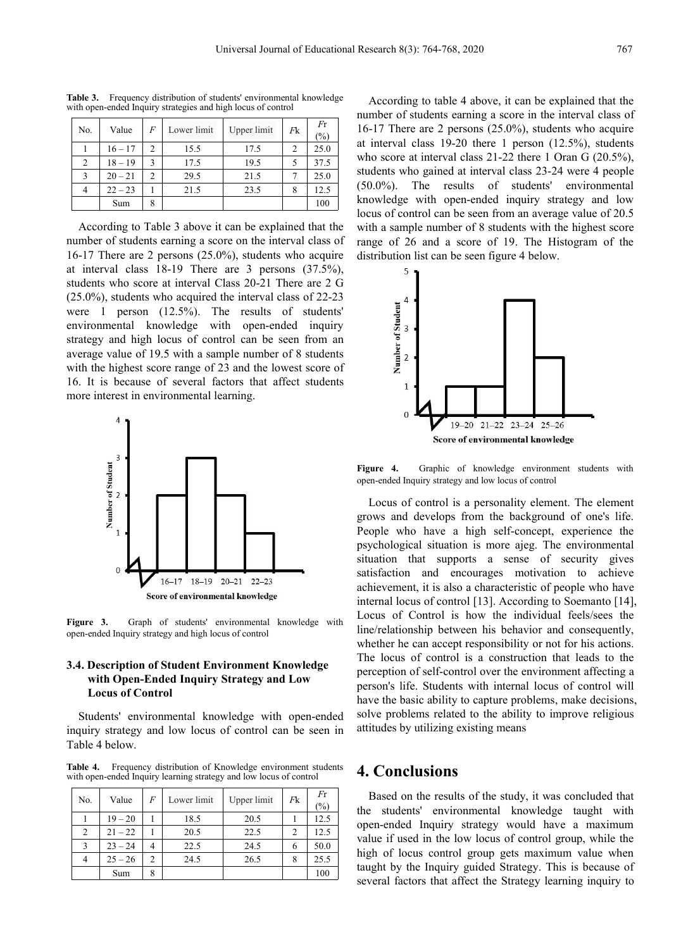|                |           |                |             |             |                |              | muniver of su                                |
|----------------|-----------|----------------|-------------|-------------|----------------|--------------|----------------------------------------------|
| No.            | Value     | F              | Lower limit | Upper limit | Fk             | Fr<br>$(\%)$ | 16-17 There                                  |
|                | $16 - 17$ | $\mathcal{D}$  | 15.5        | 17.5        | $\overline{c}$ | 25.0         | at interval cl                               |
| 2              | $18 - 19$ | $\mathbf{R}$   | 17.5        | 19.5        | 5              | 37.5         | who score at                                 |
| 3              | $20 - 21$ | $\mathfrak{D}$ | 29.5        | 21.5        |                | 25.0         | students who                                 |
| $\overline{4}$ | $22 - 23$ |                | 21.5        | 23.5        | 8              | 12.5         | $\top$<br>$(50.0\%)$ .                       |
|                | Sum       | 8              |             |             |                | 100          | knowledge v<br>$\bullet$ $\bullet$ $\bullet$ |

**Table 3.** Frequency distribution of students' environmental knowledge with open-ended Inquiry strategies and high locus of control

According to Table 3 above it can be explained that the number of students earning a score on the interval class of 16-17 There are 2 persons (25.0%), students who acquire at interval class 18-19 There are 3 persons (37.5%), students who score at interval Class 20-21 There are 2 G (25.0%), students who acquired the interval class of 22-23<br>were 1 person (12.5%). The results of students'<br>environmental knowledge with open-ended inquiry<br>strategy and high locus of control can be seen from an<br>average val were 1 person (12.5%). The results of students' environmental knowledge with open-ended inquiry  $\frac{3}{2}$  3 strategy and high locus of control can be seen from an average value of 19.5 with a sample number of 8 students  $\frac{2}{3}$  2 with the highest score range of 23 and the lowest score of 16. It is because of several factors that affect students more interest in environmental learning.



**Figure 3.** Graph of students' environmental knowledge with open-ended Inquiry strategy and high locus of control

#### **3.4. Description of Student Environment Knowledge with Open-Ended Inquiry Strategy and Low Locus** of Control

Students' environmental knowledge with open-ended inquiry strategy and low locus of control can be seen in Table 4 below.

**Table 4.** Frequency distribution of Knowledge environment students with open-ended Inquiry learning strategy and low locus ofcontrol

| No.            | Value     | F              | Lower limit | Upper limit | Fk | Fr<br>$(\%)$ | Based on t<br>students<br>the |
|----------------|-----------|----------------|-------------|-------------|----|--------------|-------------------------------|
|                | $19 - 20$ |                | 18.5        | 20.5        |    | 12.5         | open-ended                    |
| $\overline{2}$ | $21 - 22$ |                | 20.5        | 22.5        | 2  | 12.5         | value if used                 |
| 3              | $23 - 24$ | $\overline{4}$ | 22.5        | 24.5        | 6  | 50.0         | high of locus                 |
| $\overline{4}$ | $25 - 26$ | $\mathfrak{D}$ | 24.5        | 26.5        | 8  | 25.5         | taught by the                 |
|                | Sum       | 8              |             |             |    | 100          | sacceptal Centre              |

 $\frac{(\frac{9}{6})}{25.0}$  at interval class 19-20 there 1 person (12.5%), students  $\frac{100}{100}$  knowledge with open-ended inquiry strategy and low According to table 4 above, it can be explained that the number of students earning a score in the interval class of 16-17 There are 2 persons (25.0%), students who acquire who score at interval class 21-22 there 1 Oran G (20.5%), students who gained at interval class 23-24 were 4 people (50.0%). The results of students' environmental locus of control can be seen from an average value of 20.5 with a sample number of 8 students with the highest score range of 26 and a score of 19. The Histogram of the distribution list can be seen figure 4 below.



**Figure 4.** Graphic of knowledge environment students with open-ended Inquiry strategy and low locus of control

Locus of control is a personality element. The element grows and develops from the background of one's life. People who have a high self-concept, experience the psychological situation is more ajeg. The environmental situation that supports a sense of security gives satisfaction and encourages motivation to achieve achievement, it is also a characteristic of people who have internal locus of control [13]. According to Soemanto [14], Locus of Control is how the individual feels/sees the line/relationship between his behavior and consequently, whether he can accept responsibility or not for his actions. The locus of control is a construction that leads to the perception of self-control over the environment affecting a person's life. Students with internal locus of control will have the basic ability to capture problems, make decisions, solve problems related to the ability to improve religious attitudes by utilizing existing means

# **4. Conclusions**

 $\frac{(\%)}{(\%)}$  the students' environmental knowledge taught with  $\frac{1}{2}$   $\frac{19-20}{1}$   $\frac{18.5}{20.5}$   $\frac{20.5}{22.5}$   $\frac{1}{2}$   $\frac{12.5}{12.5}$  open-ended Inquiry strategy would have a maximum Based on the results of the study, it was concluded that value if used in the low locus of control group, while the high of locus control group gets maximum value when taught by the Inquiry guided Strategy. This is because of several factors that affect the Strategy learning inquiry to